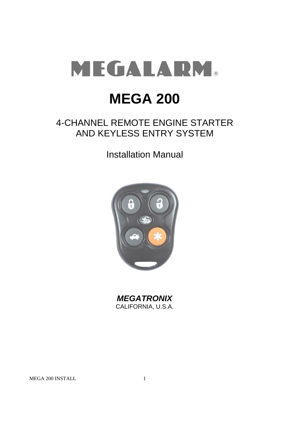

# **MEGA 200**

## 4-CHANNEL REMOTE ENGINE STARTER AND KEYLESS ENTRY SYSTEM

Installation Manual



*MEGATRONIX* CALIFORNIA, U.S.A.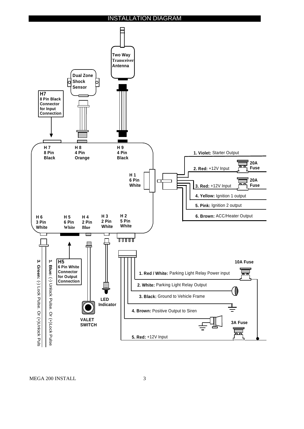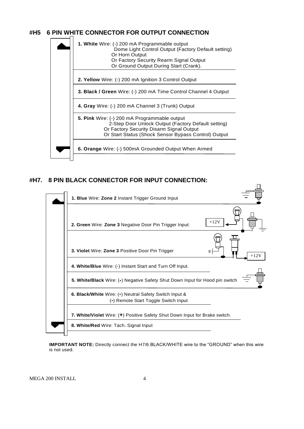## **#H5 6 PIN WHITE CONNECTOR FOR OUTPUT CONNECTION**



## **#H7. 8 PIN BLACK CONNECTOR FOR INPUT CONNECTION:**



**IMPORTANT NOTE:** Directly connect the H7/6 BLACK/WHITE wire to the "GROUND" when this wire is not used.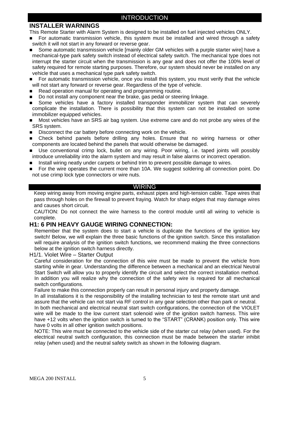## **INSTALLER WARNINGS**

This Remote Starter with Alarm System is designed to be installed on fuel injected vehicles ONLY.

- For automatic transmission vehicle, this system must be installed and wired through a safety switch it will not start in any forward or reverse gear.
- Some automatic transmission vehicle [mainly older GM vehicles with a purple starter wire] have a mechanical-type park safety switch instead of electrical safety switch. The mechanical type does not interrupt the starter circuit when the transmission is any gear and does not offer the 100% level of safety required for remote starting purposes. Therefore, our system should never be installed on any vehicle that uses a mechanical type park safety switch.
- **For automatic transmission vehicle, once you install this system, you must verify that the vehicle** will not start any forward or reverse gear. Regardless of the type of vehicle.
- Read operation manual for operating and programming routine.
- Do not install any component near the brake, gas pedal or steering linkage.
- **Some vehicles have a factory installed transponder immobilizer system that can severely** complicate the installation. There is possibility that this system can not be installed on some immobilizer equipped vehicles.
- Most vehicles have an SRS air bag system. Use extreme care and do not probe any wires of the SRS system.
- Disconnect the car battery before connecting work on the vehicle.
- Check behind panels before drilling any holes. Ensure that no wiring harness or other components are located behind the panels that would otherwise be damaged.
- Use conventional crimp lock, bullet on any wiring. Poor wiring, i.e. taped joints will possibly introduce unreliability into the alarm system and may result in false alarms or incorrect operation.
- Install wiring neatly under carpets or behind trim to prevent possible damage to wires.
- For the wire operates the current more than 10A. We suggest soldering all connection point. Do not use crimp lock type connectors or wire nuts.

#### WIRING

Keep wiring away from moving engine parts, exhaust pipes and high-tension cable. Tape wires that pass through holes on the firewall to prevent fraying. Watch for sharp edges that may damage wires and causes short circuit.

CAUTION: Do not connect the wire harness to the control module until all wiring to vehicle is complete.

## **H1: 6 PIN HEAVY GAUGE WIRING CONNECTION:**

Remember that the system does to start a vehicle is duplicate the functions of the ignition key switch! Below, we will explain the three basic functions of the ignition switch. Since this installation will require analysis of the ignition switch functions, we recommend making the three connections below at the ignition switch harness directly.

H1/1. Violet Wire – Starter Output

Careful consideration for the connection of this wire must be made to prevent the vehicle from starting while in gear. Understanding the difference between a mechanical and an electrical Neutral Start Switch will allow you to properly identify the circuit and select the correct installation method. In addition you will realize why the connection of the safety wire is required for all mechanical switch configurations.

Failure to make this connection properly can result in personal injury and property damage.

In all installations it is the responsibility of the installing technician to test the remote start unit and assure that the vehicle can not start via RF control in any gear selection other than park or neutral. In both mechanical and electrical neutral start switch configurations, the connection of the VIOLET wire will be made to the low current start solenoid wire of the ignition switch harness. This wire have +12 volts when the ignition switch is turned to the "START" (CRANK) position only. This wire have 0 volts in all other ignition switch positions.

NOTE: This wire must be connected to the vehicle side of the starter cut relay (when used). For the electrical neutral switch configuration, this connection must be made between the starter inhibit relay (when used) and the neutral safety switch as shown in the following diagram.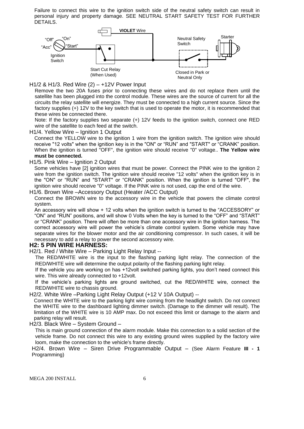Failure to connect this wire to the ignition switch side of the neutral safety switch can result in personal injury and property damage. SEE NEUTRAL START SAFETY TEST FOR FURTHER DETAILS.



H1/2 & H1/3. Red Wire (2) – +12V Power Input

Remove the two 20A fuses prior to connecting these wires and do not replace them until the satellite has been plugged into the control module. These wires are the source of current for all the circuits the relay satellite will energize. They must be connected to a high current source. Since the factory supplies (+) 12V to the key switch that is used to operate the motor, it is recommended that these wires be connected there.

Note: If the factory supplies two separate (+) 12V feeds to the ignition switch, connect one RED wire of the satellite to each feed at the switch.

H1/4. Yellow Wire – Ignition 1 Output

Connect the YELLOW wire to the ignition 1 wire from the ignition switch. The ignition wire should receive "12 volts" when the ignition key is in the "ON" or "RUN" and "START" or "CRANK" position. When the ignition is turned "OFF", the ignition wire should receive "0" voltage.. **The Yellow wire must be connected.**

#### H1/5. Pink Wire – Ignition 2 Output

Some vehicles have [2] ignition wires that must be power. Connect the PINK wire to the ignition 2 wire from the ignition switch. The ignition wire should receive "12 volts" when the ignition key is in the "ON" or "RUN" and "START" or "CRANK" position. When the ignition is turned "OFF", the ignition wire should receive "0" voltage. If the PINK wire is not used, cap the end of the wire.

H1/6. Brown Wire –Accessory Output (Heater /ACC Output)

Connect the BROWN wire to the accessory wire in the vehicle that powers the climate control system.

An accessory wire will show + 12 volts when the ignition switch is turned to the "ACCESSORY" or "ON" and "RUN" positions, and will show 0 Volts when the key is turned to the "OFF" and "START" or "CRANK" position. There will often be more than one accessory wire in the ignition harness. The correct accessory wire will power the vehicle's climate control system. Some vehicle may have separate wires for the blower motor and the air conditioning compressor. In such cases, it will be necessary to add a relay to power the second accessory wire.

#### **H2: 5 PIN WIRE HARNESS:**

H2/1. Red / White Wire – Parking Light Relay Input --

The RED/WHITE wire is the input to the flashing parking light relay. The connection of the RED/WHITE wire will determine the output polarity of the flashing parking light relay.

If the vehicle you are working on has +12volt switched parking lights, you don't need connect this wire. This wire already connected to +12volt.

If the vehicle's parking lights are ground switched, cut the RED/WHITE wire, connect the RED/WHITE wire to chassis ground.

H2/2. White Wire –Parking Light Relay Output (+12 V 10A Output) --

Connect the WHITE wire to the parking light wire coming from the headlight switch. Do not connect the WHITE wire to the dashboard lighting dimmer switch. (Damage to the dimmer will result). The limitation of the WHITE wire is 10 AMP max. Do not exceed this limit or damage to the alarm and parking relay will result.

H2/3. Black Wire – System Ground –

This is main ground connection of the alarm module. Make this connection to a solid section of the vehicle frame. Do not connect this wire to any existing ground wires supplied by the factory wire loom, make the connection to the vehicle's frame directly.

H2/4. Brown Wire – Siren Drive Programmable Output – (See Alarm Feature **III - 1** Programming)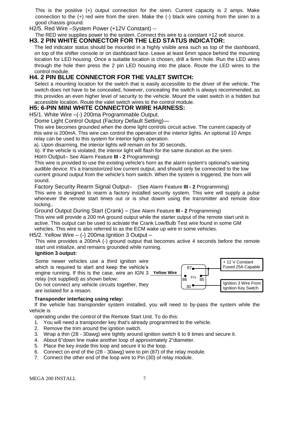This is the positive (+) output connection for the siren. Current capacity is 2 amps. Make connection to the (+) red wire from the siren. Make the (-) black wire coming from the siren to a good chassis ground.

H2/5. Red Wire –System Power (+12V Constant) --

#### The RED wire supplies power to the system. Connect this wire to a constant +12 volt source. **H3. 2 PIN WHITE CONNECTOR FOR THE LED STATUS INDICATOR:**

The led indicator status should be mounted in a highly visible area such as top of the dashboard, on top of the shifter console or on dashboard face. Leave at least 6mm space behind the mounting location for LED housing. Once a suitable location is chosen, drill a 6mm hole. Run the LED wires through the hole then press the 2 pin LED housing into the place. Route the LED wires to the control module.

## **H4. 2 PIN BLUE CONNECTOR FOR THE VALET SWITCH:**

Select a mounting location for the switch that is easily accessible to the driver of the vehicle. The switch does not have to be concealed, however, concealing the switch is always recommended, as this provides an even higher level of security to the vehicle. Mount the valet switch in a hidden but accessible location. Route the valet switch wires to the control module.

## **H5: 6-PIN MINI WHITE CONNECTOR WIRE HARNESS:**

H5/1. White Wire –(-) 200ma Programmable Output.

Dome Light Control Output (Factory Default Setting)—

This wire becomes grounded when the dome light controls circuit active. The current capacity of this wire is 200mA. This wire can control the operation of the interior lights. An optional 10 Amps relay can be used to this system for interior lights operation.

a). Upon disarming, the interior lights will remain on for 30 seconds.

b). If the vehicle is violated, the interior light will flash for the same duration as the siren.

#### Horn Output– See Alarm Feature **III - 2** Programming)

This wire is provided to use the existing vehicle's horn as the alarm system's optional's warning audible device. It's a transistorized low current output, and should only be connected to the low current ground output from the vehicle's horn switch. When the system is triggered, the horn will sound.

Factory Security Rearm Signal Output– (See Alarm Feature **III - 2** Programming)

This wire is designed to rearm a factory installed security system. This wire will supply a pulse whenever the remote start times out or is shut dowm using the transmitter and remote door locking..

Ground Output During Start (Crank) – (See Alarm Feature **III - 2** Programming)

This wire will provide a 200 mA ground output while the starter output of the remote start unit is active. This output can be used to activate the Crank Low/Bulb Test wire found in some GM vehicles. This wire is also referred to as the ECM wake up wire in some vehicles.

## H5/2. Yellow Wire  $-$  (-) 200ma Ignition 3 Output  $-$

This wire provides a 200mA (-) ground output that becomes active 4 seconds before the remote start unit initialize, and remains grounded while running.

#### **Ignition 3 output:**

Some newer vehicles use a third ignition wire which is required to start and keep the vehicle's engine running. If this is the case, wire an IGN 3 **Yellow Wire** relay (not supplied) as shown below: Do not connect any vehicle circuits together, they are isolated for a resaon.



## **Transponder interfacing using relay:**

 If the vehicle has transponder system installed, you will need to by-pass the system while the vehicle is

operating under the control of the Remote Start Unit. To do this:

- 1. You will need a transponder key that's already programmed to the vehicle.
- 2. Remove the trim around the ignition switch.
- 3. Wrap a thin (28 30awg) wire tightly around ignition switch 6 to 8 times and secure it.
- 4. About 6"down line make another loop of approximately 2"diameter.
- 5. Place the key inside this loop and secure it to the loop.
- 6. Connect on end of the (28 30awg) wire to pin (87) of the relay module.
- 7. Connect the other end of the loop wire to Pin (30) of relay module.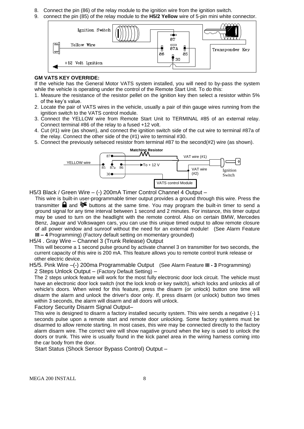- 8. Connect the pin (86) of the relay module to the ignition wire from the ignition switch.
- 9. connect the pin (85) of the relay module to the **H5/2 Yellow** wire of 5-pin mini white connector.



#### **GM VATS KEY OVERRIDE:**

If the vehicle has the General Motor VATS system installed, you will need to by-pass the system while the vehicle is operating under the control of the Remote Start Unit. To do this:

- 1. Measure the resistance of the resistor pellet on the ignition key then select a resistor within 5% of the key's value.
- 2. Locate the pair of VATS wires in the vehicle, usually a pair of thin gauge wires running from the ignition switch to the VATS control module.
- 3. Connect the YELLOW wire from Remote Start Unit to TERMINAL #85 of an external relay. Connect terminal #86 of the relay to a fused +12 volt.
- 4. Cut (#1) wire (as shown), and connect the ignition switch side of the cut wire to terminal #87a of the relay. Connect the other side of the (#1) wire to terminal #30.
- 5. Connect the previously selseced resistor from terminal #87 to the second(#2) wire (as shown).



H5/3 Black / Green Wire – (-) 200mA Timer Control Channel 4 Output –

This wire is built-in user-programmable timer output provides a ground through this wire. Press the transmitter **a** and  $\mathcal{F}$  buttons at the same time. You may program the built-in timer to send a ground signal for any time interval between 1 second and 2 minutes. For instance, this timer output may be used to turn on the headlight with the remote control. Also on certain BMW, Mercedes Benz, Jaguar and Volkswagen cars, you can use this unique timed output to allow remote closure of all power window and sunroof without the need for an external module! (See Alarm Feature **III – 4** Programming) (Factory default setting on momentary grounded)

#### H5/4 . Gray Wire – Channel 3 (Trunk Release) Output

This will become a 1 second pulse ground by activate channel 3 on transmitter for two seconds, the current capacity of this wire is 200 mA. This feature allows you to remote control trunk release or other electric device.

H5/5. Pink Wire –(-) 200ma Programmable Output (See Alarm Feature **III - 3** Programming) 2 Steps Unlock Output – (Factory Default Setting) –

The 2 steps unlock feature will work for the most fully electronic door lock circuit. The vehicle must have an electronic door lock switch (not the lock knob or key switch), which locks and unlocks all of vehicle's doors. When wired for this feature, press the disarm (or unlock) button one time will disarm the alarm and unlock the driver's door only. If, press disarm (or unlock) button two times within 3 seconds, the alarm will disarm and all doors will unlock.

Factory Security Disarm Signal Output–

This wire is designed to disarm a factory installed security system. This wire sends a negative (-) 1 seconds pulse upon a remote start and remote door unlocking. Some factory systems must be disarmed to allow remote starting. In most cases, this wire may be connected directly to the factory alarm disarm wire. The correct wire will show nagative ground when the key is used to unlock the doors or trunk. This wire is usually found in the kick panel area in the wiring harness coming into the car body from the door.

Start Status (Shock Sensor Bypass Control) Output –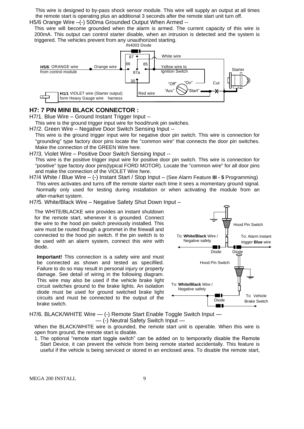This wire is designed to by-pass shock sensor module. This wire will supply an output at all times the remote start is operating plus an additional 3 seconds after the remote start unit turn off. H5/6 Orange Wire -(-) 500ma Grounded Output When Armed --

This wire will become grounded when the alarm is armed. The current capacity of this wire is 200mA. This output can control starter disable, when an intrusion is detected and the system is triggered. The vehicles prevent from any unauthorized starting.



#### **H7: 7 PIN MINI BLACK CONNECTOR :**

H7/1. Blue Wire – Ground Instant Trigger Input --

This wire is the ground trigger input wire for hood/trunk pin switches.

H7/2. Green Wire – Negative Door Switch Sensing Input --

This wire is the ground trigger input wire for negative door pin switch. This wire is connection for "grounding" type factory door pins locate the "common wire" that connects the door pin switches. Make the connection of the GREEN Wire here.

H7/3. Violet Wire – Positive Door Switch Sensing Input --

This wire is the positive trigger input wire for positive door pin switch. This wire is connection for "positive" type factory door pins(typical FORD MOTOR). Locate the "common wire" for all door pins and make the connection of the VIOLET Wire here.

H7/4 White / Blue Wire – (-) Instant Start / Stop Input – (See Alarm Feature **III - 5** Programming) This wires activates and turns off the remote starter each time it sees a momentary ground signal. Normally only used for testing during installation or when activating the module from an after-market system.

H7/5. White/Black Wire – Negative Safety Shut Down Input –

The WHITE/BLACKE wire provides an instant shutdown for the remote start, whenever it is grounded. Connect the wire to the hood pin switch previously installed. This wire must be routed though a grommet in the firewall and connected to the hood pin switch. If the pin switch is to be used with an alarm system, connect this wire with diode.

**Important!** This connection is a safety wire and must be connected as shown and tested as specifiled. Failure to do so may result in personal injury or property damage. See detail of wiring in the following diagram. This wire may also be used if the vehicle brake light circuit switches ground to the brake lights. An isolation diode must be used for ground switched brake light circuits and must be connected to the output of the brake switch.



H7/6. BLACK/WHITE Wire  $-$  (-) Remote Start Enable Toggle Switch Input  $-$ — (-) Neutral Safety Switch Input —

When the BLACK/WHITE wire is grounded, the remote start unit is operable. When this wire is open from ground, the remote start is disable.

1. The optional "remote start toggle switch" can be added on to temporarily disable the Remote Start Device, it can prevent the vehicle from being remote started accidentally. This feature is useful if the vehicle is being serviced or stored in an enclosed area. To disable the remote start,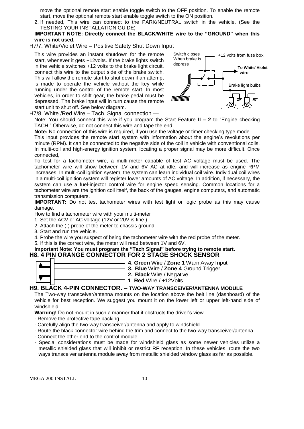move the optional remote start enable toggle switch to the OFF position. To enable the remote start, move the optional remote start enable toggle switch to the ON position.

- 2. If needed, This wire can connect to the PARK/NEUTRAL switch in the vehicle. (See the TESTING YOUR INSTALLATION GUIDE)
- **IMPORTANT NOTE: Directly connect the BLACK/WHITE wire to the "GROUND" when this wire is not used.**
- H7/7. White/Violet Wire Positive Safety Shut Down Input

This wire provides an instant shutdown for the remote start, whenever it gets +12volts. If the brake lights switch in the vehicle switches +12 volts to the brake light circuit, connect this wire to the output side of the brake switch. This will allow the remote start to shut down if an attempt is made to operate the vehicle without the key while running under the control of the remote start. In most vehicles, in order to shift gear, the brake pedal must be depressed. The brake input will in turn cause the remote start unit to shut off. See below diagram.



H7/8. White /Red Wire – Tach. Signal connection —

Note: You should connect this wire if you program the Start Feature **II – 2** to "Engine checking TACH." Otherwise, do not connect this wire and tape the end.

**Note:** No connection of this wire is required, if you use the voltage or timer checking type mode.

This input provides the remote start system with information about the engine's revolutions per minute (RPM). It can be connected to the negative side of the coil in vehicle with conventional coils. In multi-coil and high-energy ignition system, locating a proper signal may be more difficult. Once connected,

To test for a tachometer wire, a multi-meter capable of test AC voltage must be used. The tachometer wire will show between 1V and 6V AC at idle, and will increase as engine RPM increases. In multi-coil ignition system, the system can learn individual coil wire. Individual coil wires in a multi-coil ignition system will register lower amounts of AC voltage. In addition, if necessary, the system can use a fuel-injector control wire for engine speed sensing. Common locations for a tachometer wire are the ignition coil itself, the back of the gauges, engine computers, and automatic transmission computers.

**IMPORTANT:** Do not test tachometer wires with test light or logic probe as this may cause damage.

How to find a tachometer wire with your multi-meter

- 1. Set the ACV or AC voltage (12V or 20V is fine.)
- 2. Attach the (-) probe of the meter to chassis ground.
- 3. Start and run the vehicle.

4. Probe the wire you suspect of being the tachometer wire with the red probe of the meter.

5. If this is the correct wire, the meter will read between 1V and 6V.

#### **Important Note: You must program the "Tach Signal" before trying to remote start. H8. 4 PIN ORANGE CONNECTOR FOR 2 STAGE SHOCK SENSOR**

|  | 4. Green Wire / Zone 1    |
|--|---------------------------|
|  | 3. Blue Wire / Zone 4     |
|  |                           |
|  | 2. Black Wire / Negativ   |
|  |                           |
|  | 1. Red Wire $/ +12$ Volts |
|  |                           |

#### **H9. BLACK 4-PIN CONNECTOR. – TWO-WAY TRANSCEIVER/ANTENNA MODULE**

The Two-way transceiver/antenna mounts on the location above the belt line (dashboard) of the vehicle for best reception. We suggest you mount it on the lower left or upper left-hand side of windshield.

**2. Black** Wire / Negative

**4. Green** Wire / **Zone 1** Warn Away Input **3. Blue** Wire / **Zone 4** Ground Trigger

**Warning!** Do not mount in such a manner that it obstructs the driver's view.

- Remove the protective tape backing.
- Carefully align the two-way transceiver/antenna and apply to windshield.
- Route the black connector wire behind the trim and connect to the two-way transceiver/antenna.
- Connect the other end to the control module.
- Special considerations must be made for windshield glass as some newer vehicles utilize a metallic shielded glass that will inhibit or restrict RF reception. In these vehicles, route the two ways transceiver antenna module away from metallic shielded window glass as far as possible.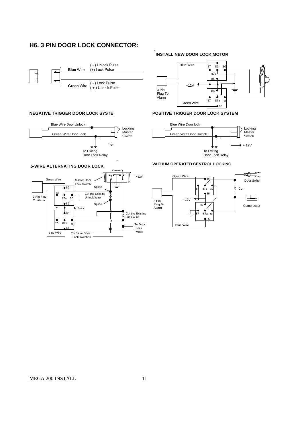## **H6. 3 PIN DOOR LOCK CONNECTOR:**



#### **NEGATIVE TRIGGER DOOR LOCK SYSTE**



## **INSTALL NEW DOOR LOCK MOTOR**



#### **POSITIVE TRIGGER DOOR LOCK SYSTEM**



## **VACUUM OPERATED CENTROL LOCKING**



#### **5-WIRE ALTERNATING DOOR LOCK**

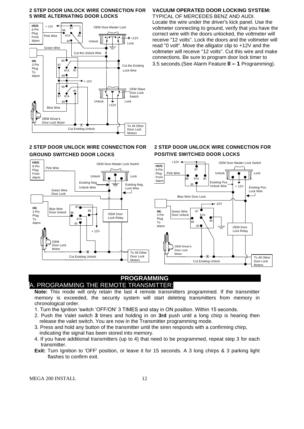#### **2 STEP DOOR UNLOCK WIRE CONNECTION FOR 5 WIRE ALTERNATING DOOR LOCKS**



#### **2 STEP DOOR UNLOCK WIRE CONNECTION FOR GROUND SWITCHED DOOR LOCKS**



## **VACUUM OPERATED DOOR LOCKING SYSTEM:**

TYPICAL OF MERCEDES BENZ AND AUDI. Locate the wire under the driver's kick panel. Use the voltmeter connecting to ground, verify that you have the correct wire with the doors unlocked, the voltmeter will receive "12 volts". Lock the doors and the voltmeter will read "0 volt". Move the alligator clip to +12V and the voltmeter will receive "12 volts". Cut this wire and make connections. Be sure to program door lock timer to 3.5 seconds.(See Alarm Feature **II – 1** Programming).

## **2 STEP DOOR UNLOCK WIRE CONNECTION FOR POSITIVE SWITCHED DOOR LOCKS**



## **PROGRAMMING** A. PROGRAMMING THE REMOTE TRANSMITTER:

**Note:** This mode will only retain the last 4 remote transmitters programmed. If the transmitter memory is exceeded, the security system will start deleting transmitters from memory in chronological order.

- 1. Turn the Ignition 'switch 'OFF/ON' 3 TIMES and stay in ON position. Within 15 seconds.
- 2. Push the Valet switch **3** times and holding in on **3rd** push until a long chirp is hearing then release the valet switch. You are now in the Transmitter programming mode.
- 3. Press and hold any button of the transmitter until the siren responds with a confirming chirp, indicating the signal has been stored into memory.
- 4. If you have additional transmitters (up to 4) that need to be programmed, repeat step 3 for each transmitter.
- **Exit:** Turn Ignition to 'OFF' position, or leave it for 15 seconds. A 3 long chirps & 3 parking light flashes to confirm exit.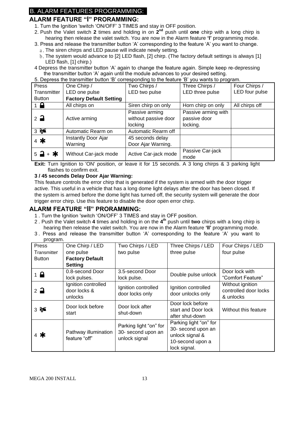## B. ALARM FEATURES PROGRAMMING:

## **ALARM FEATURE "I" PRORAMMING:**

- 1. Turn the Ignition 'switch 'ON/OFF' 3 TIMES and stay in OFF position.
- 2. Push the Valet switch 2 times and holding in on 2<sup>nd</sup> push until one chirp with a long chirp is hearing then release the valet switch. You are now in the Alarm feature **'I'** programming mode.
- 3. Press and release the transmitter button 'A' corresponding to the feature 'A' you want to change.
	- a. The siren chirps and LED pause will indicate newly setting.
	- b.The system would advance to [2] LED flash, [2] chirp. (The factory default settings is always [1] LED flash, [1] chirp.)
- 4 Depress the transmitter button 'A' again to change the feature again. Simple keep re-depressing the transmitter button 'A' again until the module advances to your desired setting.

| 5. Depress the transmitter button 'B' corresponding to the feature 'B' you wants to program. |                       |                      |                     |                |  |
|----------------------------------------------------------------------------------------------|-----------------------|----------------------|---------------------|----------------|--|
| Press                                                                                        | One Chirp /           | Two Chirps /         | Three Chirps /      | Four Chirps /  |  |
| Transmitter                                                                                  | LED one pulse         | LED two pulse        | LED three pulse     | LED four pulse |  |
| <b>Factory Default Setting</b><br><b>Button</b>                                              |                       |                      |                     |                |  |
| $1 \nightharpoonup$                                                                          | All chirps on         | Siren chirp on only  | Horn chirp on only  | All chirps off |  |
|                                                                                              |                       | Passive arming       | Passive arming with |                |  |
| $2\overline{a}$                                                                              | Active arming         | without passive door | passive door        |                |  |
|                                                                                              |                       | locking              | locking.            |                |  |
| 35                                                                                           | Automatic Rearm on    | Automatic Rearm off  |                     |                |  |
| $4$ *                                                                                        | Instantly Door Ajar   | 45 seconds delay     |                     |                |  |
|                                                                                              | Warning               | Door Ajar Warning.   |                     |                |  |
| $5 - 1 + *$                                                                                  | Without Car-jack mode | Active Car-jack mode | Passive Car-jack    |                |  |
|                                                                                              |                       |                      | mode                |                |  |

**Exit:** Turn Ignition to 'ON' position, or leave it for 15 seconds. A 3 long chirps & 3 parking light flashes to confirm exit.

#### **3 / 45 seconds Delay Door Ajar Warning:**

This feature controls the error chirp that is generated if the system is armed with the door trigger active. This useful in a vehicle that has a long dome light delays after the door has been closed. If the system is armed before the dome light has turned off, the security system will generate the door trigger error chirp. Use this feature to disable the door open error chirp.

## **ALARM FEATURE "II" PRORAMMING:**

- 1 . Turn the Ignition 'switch 'ON/OFF' 3 TIMES and stay in OFF position.
- 2 . Push the Valet switch **4** times and holding in on the **4 th** push until **two** chirps with a long chirp is hearing then release the valet switch. You are now in the Alarm feature **'II'** programming mode.
- 3 . Press and release the transmitter button 'A' corresponding to the feature 'A' you want to program.

| r · - o · - · ·<br>Press | One Chirp / LED                                | Two Chirps / LED                                              | Three Chirps / LED                                                                                  | Four Chirps / LED                                      |
|--------------------------|------------------------------------------------|---------------------------------------------------------------|-----------------------------------------------------------------------------------------------------|--------------------------------------------------------|
| Transmitter              | one pulse                                      | two pulse                                                     | three pulse                                                                                         | four pulse                                             |
| <b>Button</b>            | <b>Factory Default</b>                         |                                                               |                                                                                                     |                                                        |
|                          | <b>Setting</b>                                 |                                                               |                                                                                                     |                                                        |
| $1 \bigoplus$            | 0.8-second Door                                | 3.5-second Door                                               | Double pulse unlock                                                                                 | Door lock with                                         |
|                          | lock pulses.                                   | lock pulse.                                                   |                                                                                                     | "Comfort Feature"                                      |
| $2\rightarrow$           | Ignition controlled<br>door locks &<br>unlocks | Ignition controlled<br>door locks only                        | Ignition controlled<br>door unlocks only                                                            | Without ignition<br>controlled door locks<br>& unlocks |
| 356                      | Door lock before<br>start                      | Door lock after<br>shut-down                                  | Door lock before<br>start and Door lock<br>after shut-down                                          | Without this feature                                   |
| $4$ *                    | Pathway illumination<br>feature "off"          | Parking light "on" for<br>30- second upon an<br>unlock signal | Parking light "on" for<br>30- second upon an<br>unlock signal &<br>10-second upon a<br>lock signal. |                                                        |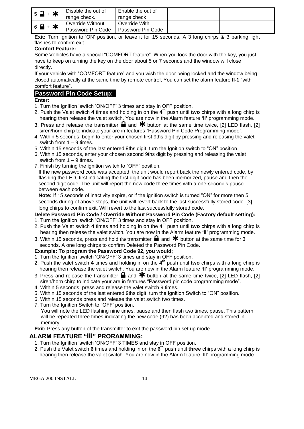| $5 - + *$                   | Disable the out of<br>range check.    | Enable the out of<br>range check   |  |
|-----------------------------|---------------------------------------|------------------------------------|--|
| $6$ $\rightarrow$ $\bullet$ | Override Without<br>Password Pin Code | Override With<br>Password Pin Code |  |

**Exit:** Turn Ignition to 'ON' position, or leave it for 15 seconds. A 3 long chirps & 3 parking light flashes to confirm exit.

#### **Comfort Feature:**

Some Vehicles have a special "COMFORT feature". When you lock the door with the key, you just have to keep on turning the key on the door about 5 or 7 seconds and the window will close directly.

If your vehicle with "COMFORT feature" and you wish the door being locked and the window being closed automatically at the same time by remote control, You can set the alarm feature **II-1** "with comfort feature".

## **Password Pin Code Setup:**

## **Enter:**

- 1. Turn the Ignition 'switch 'ON/OFF' 3 times and stay in OFF position.
- 2. Push the Valet switch **4** times and holding in on the **4 th** push until **two** chirps with a long chirp is hearing then release the valet switch. You are now in the Alarm feature **'II'** programming mode.
- 3. Press and release the transmitter  $\blacksquare$  and  $\blacktriangleright$  button at the same time twice, [2] LED flash, [2] siren/horn chirp to indicate your are in features "Password Pin Code Programming mode".
- 4. Within 5 seconds, begin to enter your chosen first 9ths digit by pressing and releasing the valet switch from 1 – 9 times.
- 5. Within 15 seconds of the last entered 9ths digit, turn the Ignition switch to "ON" position.
- 6. Within 15 seconds, enter your chosen second 9ths digit by pressing and releasing the valet switch from  $1 - 9$  times.
- 7. Finish by turning the ignition switch to "OFF" position.

If the new password code was accepted, the unit would report back the newly entered code, by flashing the LED, first indicating the first digit code has been memorized, pause and then the second digit code. The unit will report the new code three times with a one-second's pause between each code.

**Note:** If 15 seconds of inactivity expire, or if the ignition switch is turned "ON" for more then 5 seconds during of above steps, the unit will revert back to the last successfully stored code. [3] long chirps to confirm exit. Will revert to the last successfully stored code.

## **Delete Password Pin Code / Override Without Password Pin Code (Factory default setting):**

- 1. Turn the Ignition 'switch 'ON/OFF' 3 times and stay in OFF position.
- 2. Push the Valet switch **4** times and holding in on the **4 th** push until **two** chirps with a long chirp is hearing then release the valet switch. You are now in the Alarm feature **'II'** programming mode.
- 3. Within 15 seconds, press and hold the transmitter  $\Box$  and  $\bigstar$  button at the same time for 3 seconds. A one long chirps to confirm Deleted the Password Pin Code.

#### **Example: To program the Password Code 92, you would;**

- 1. Turn the Ignition 'switch 'ON/OFF' 3 times and stay in OFF position.
- 2. Push the valet switch **4** times and holding in on the **4 th** push until **two** chirps with a long chirp is hearing then release the valet switch. You are now in the Alarm feature **'II'** programming mode.
- 3. Press and release the transmitter  $\blacksquare$  and  $\clubsuit$  button at the same time twice, [2] LED flash, [2] siren/horn chirp to indicate your are in features "Password pin code programming mode".
- 4. Within 5 seconds, press and release the valet switch 9 times.
- 5. Within 15 seconds of the last entered 9ths digit, turn the Ignition Switch to "ON" position.
- 6. Within 15 seconds press and release the valet switch two times.
- 7. Turn the Ignition Switch to "OFF' position.

You will note the LED flashing nine times, pause and then flash two times, pause. This pattern will be repeated three times indicating the new code (92) has been accepted and stored in memory.

**Exit:** Press any button of the transmitter to exit the password pin set up mode.

## **ALARM FEATURE "III" PRORAMMING:**

- 1. Turn the Ignition 'switch 'ON/OFF' 3 TIMES and stay in OFF position.
- 2. Push the Valet switch **6** times and holding in on the **6 th** push until **three** chirps with a long chirp is hearing then release the valet switch. You are now in the Alarm feature 'III' programming mode.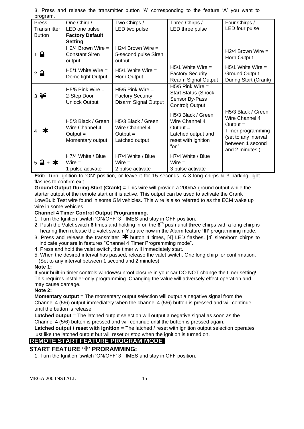| program.              |                        |                         |                            |                      |
|-----------------------|------------------------|-------------------------|----------------------------|----------------------|
| Press                 | One Chirp /            | Two Chirps /            | Three Chirps /             | Four Chirps /        |
| Transmitter           | LED one pulse          | LED two pulse           | LED three pulse            | LED four pulse       |
| <b>Button</b>         | <b>Factory Default</b> |                         |                            |                      |
|                       | <b>Setting</b>         |                         |                            |                      |
|                       | $H2/4$ Brown Wire =    | $H2/4$ Brown Wire =     |                            | $H2/4$ Brown Wire =  |
| $1 \nightharpoonup$   | <b>Constant Siren</b>  | 5-second pulse Siren    |                            |                      |
|                       | output                 | output                  |                            | Horn Output          |
|                       | $H5/1$ White Wire =    | $H5/1$ White Wire =     | $H5/1$ White Wire =        | $H5/1$ White Wire =  |
| $2\rightarrow$        |                        |                         | <b>Factory Security</b>    | <b>Ground Output</b> |
|                       | Dome light Output      | Horn Output             | <b>Rearm Signal Output</b> | During Start (Crank) |
|                       | $H5/5$ Pink Wire $=$   | $H5/5$ Pink Wire =      | $H5/5$ Pink Wire =         |                      |
| $3 \approx$           | 2-Step Door            | <b>Factory Security</b> | <b>Start Status (Shock</b> |                      |
|                       | <b>Unlock Output</b>   | Disarm Signal Output    | Sensor By-Pass             |                      |
|                       |                        |                         | Control) Output            |                      |
|                       |                        |                         | H5/3 Black / Green         | H5/3 Black / Green   |
|                       | H5/3 Black / Green     | H5/3 Black / Green      | Wire Channel 4             | Wire Channel 4       |
|                       | Wire Channel 4         | Wire Channel 4          | Output $=$                 | $Output =$           |
| Ж                     | Output $=$             | $Output =$              | Latched output and         | Timer programming    |
|                       | Momentary output       | Latched output          | reset with ignition        | (set to any interval |
|                       |                        |                         | "on"                       | between 1 second     |
|                       |                        |                         |                            | and 2 minutes.)      |
|                       | H7/4 White / Blue      | H7/4 White / Blue       | H7/4 White / Blue          |                      |
| + *<br>$5\rightarrow$ | $Wire =$               | $Wire =$                | $Wire =$                   |                      |
|                       | 1 pulse activate       | 2 pulse activate        | 3 pulse activate           |                      |

3. Press and release the transmitter button 'A' corresponding to the feature 'A' you want to program.

**Exit:** Turn Ignition to 'ON' position, or leave it for 15 seconds. A 3 long chirps & 3 parking light flashes to confirm exit.

**Ground Output During Start (Crank) =** This wire will provide a 200mA ground output while the starter output of the remote start unit is active. This output can be used to activate the Crank Low/Bulb Test wire found in some GM vehicles. This wire is also referred to as the ECM wake up wire in some vehicles.

#### **Channel 4 Timer Control Output Programming.**

- 1. Turn the Ignition 'switch 'ON/OFF' 3 TIMES and stay in OFF position.
- 2. Push the Valet switch **6** times and holding in on the **6 th** push until **three** chirps with a long chirp is hearing then release the valet switch. You are now in the Alarm feature **'III'** programming mode.
- 3. Press and release the transmitter  $*$  button 4 times, [4] LED flashes, [4] siren/horn chirps to indicate your are in features "Channel 4 Timer Programming mode".
- 4. Press and hold the valet switch, the timer will immediately start.
- 5. When the desired interval has passed, release the valet switch. One long chirp for confirmation.
- (Set to any interval between 1 second and 2 minutes)

#### **Note 1:**

If your built-in timer controls window/sunroof closure in your car DO NOT change the timer setting! This requires installer-only programming. Changing the value will adversely effect operation and may cause damage.

#### **Note 2:**

**Momentary output** = The momentary output selection will output a negative signal from the Channel 4 (5/6) output immediately when the channel 4 (5/6) button is pressed and will continue until the button is release.

**Latched output** = The latched output selection will output a negative signal as soon as the Channel 4 (5/6) button is pressed and will continue until the button is pressed again.

**Latched output / reset with ignition** = The latched / reset with ignition output selection operates just like the latched output but will reset or stop when the ignition is turned on.

## **REMOTE START FEATURE PROGRAM MODE**

## **START FEATURE "I" PRORAMMING:**

1. Turn the Ignition 'switch 'ON/OFF' 3 TIMES and stay in OFF position.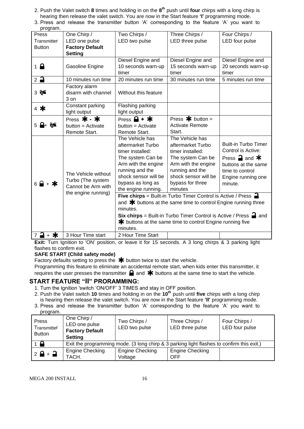- 2. Push the Valet switch **8** times and holding in on the **8 th** push until **four** chirps with a long chirp is hearing then release the valet switch. You are now in the Start feature **'I'** programming mode.
- 3. Press and release the transmitter button 'A' corresponding to the feature 'A' you want to

| program.                        |                                         |                                                                                       |                           |                                                |
|---------------------------------|-----------------------------------------|---------------------------------------------------------------------------------------|---------------------------|------------------------------------------------|
| Press                           | One Chirp /                             | Two Chirps /                                                                          | Three Chirps /            | Four Chirps /                                  |
| Transmitter                     | LED one pulse                           | LED two pulse                                                                         | LED three pulse           | LED four pulse                                 |
| <b>Button</b>                   | <b>Factory Default</b>                  |                                                                                       |                           |                                                |
|                                 | <b>Setting</b>                          |                                                                                       |                           |                                                |
|                                 |                                         | Diesel Engine and                                                                     | Diesel Engine and         | Diesel Engine and                              |
| $1 \nightharpoonup$             | Gasoline Engine                         | 10 seconds warn-up                                                                    | 15 seconds warn-up        | 20 seconds warn-up                             |
|                                 |                                         | timer                                                                                 | timer                     | timer                                          |
| $2$ $\rightarrow$               | 10 minutes run time                     | 20 minutes run time                                                                   | 30 minutes run time       | 5 minutes run time                             |
|                                 | Factory alarm                           |                                                                                       |                           |                                                |
| $3 \approx$                     | disarm with channel                     | Without this feature                                                                  |                           |                                                |
|                                 | $3$ on                                  |                                                                                       |                           |                                                |
| $4$ *                           | Constant parking                        | Flashing parking                                                                      |                           |                                                |
|                                 | light output                            | light output                                                                          |                           |                                                |
|                                 | Press $*$ - $*$                         | Press $\mathbf{a}$ + $\mathbf{\ast}$                                                  | Press $\bigstar$ button = |                                                |
|                                 | button = Activate                       | button = Activate                                                                     | <b>Activate Remote</b>    |                                                |
|                                 | Remote Start.                           | Remote Start.                                                                         | Start.                    |                                                |
|                                 |                                         | The Vehicle has                                                                       | The Vehicle has           |                                                |
|                                 |                                         | aftermarket Turbo                                                                     | aftermarket Turbo         | <b>Built-in Turbo Timer</b>                    |
|                                 |                                         | timer installed:                                                                      | timer installed:          | Control is Active:                             |
|                                 |                                         | The system Can be                                                                     | The system Can be         | Press $\mathbf{\supseteq}$ and $\mathbf{\ast}$ |
|                                 |                                         | Arm with the engine                                                                   | Arm with the engine       | buttons at the same                            |
|                                 | The Vehicle without                     | running and the                                                                       | running and the           | time to control                                |
|                                 | Turbo (The system<br>Cannot be Arm with | shock sensor will be                                                                  | shock sensor will be      | Engine running one                             |
| $6$ $\rightarrow$ $\rightarrow$ |                                         | bypass as long as                                                                     | bypass for three          | minute.                                        |
|                                 | the engine running)                     | the engine running.                                                                   | minutes                   |                                                |
|                                 |                                         | <b>Five chirps</b> = Built-in Turbo Timer Control is Active / Press $\blacksquare$    |                           |                                                |
|                                 |                                         | and $*$ buttons at the same time to control Engine running three                      |                           |                                                |
|                                 |                                         | minutes.                                                                              |                           |                                                |
|                                 |                                         | <b>Six chirps</b> = Built-in Turbo Timer Control is Active / Press $\blacksquare$ and |                           |                                                |
|                                 |                                         | <b>≭</b> buttons at the same time to control Engine running five                      |                           |                                                |
|                                 |                                         | minutes.                                                                              |                           |                                                |
| ⊒ + ≭<br>$\overline{7}$         | 3 Hour Time start                       | 2 Hour Time Start                                                                     |                           |                                                |

**Exit:** Turn Ignition to 'ON' position, or leave it for 15 seconds. A 3 long chirps & 3 parking light flashes to confirm exit.

## **SAFE START (Child safety mode)**

Factory defaults setting to press the  $*$  button twice to start the vehicle.

Programming this feature to eliminate an accidental remote start, when kids enter this transmitter, it requires the user presses the transmitter  $\blacksquare$  and  $\blacktriangleright$  buttons at the same time to start the vehicle.

## **START FEATURE "II" PRORAMMING:**

- 1. Turn the Ignition 'switch 'ON/OFF' 3 TIMES and stay in OFF position.
- 2. Push the Valet switch **10** times and holding in on the **10th** push until **five** chirps with a long chirp is hearing then release the valet switch. You are now in the Start feature **'II'** programming mode.
- 3. Press and release the transmitter button 'A' corresponding to the feature 'A' you want to program.

| Press<br>Transmitter<br><b>Button</b> | One Chirp /<br>LED one pulse<br><b>Factory Default</b><br><b>Setting</b>                  | Two Chirps /<br>LED two pulse     | Three Chirps /<br>LED three pulse    | Four Chirps /<br>LED four pulse |
|---------------------------------------|-------------------------------------------------------------------------------------------|-----------------------------------|--------------------------------------|---------------------------------|
| $1 \blacksquare$                      | Exit the programming mode. (3 long chirp & 3 parking light flashes to confirm this exit.) |                                   |                                      |                                 |
| $2 \frac{6}{9} + \frac{1}{9}$         | Engine Checking<br>TACH.                                                                  | <b>Engine Checking</b><br>Voltage | <b>Engine Checking</b><br><b>OFF</b> |                                 |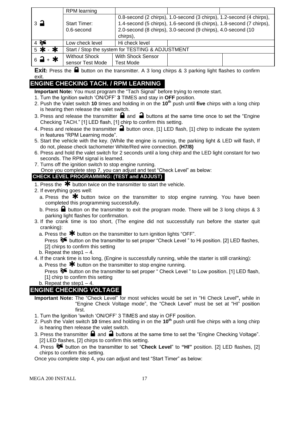|                               | RPM learning                                     |                                                              |                                                                      |  |  |
|-------------------------------|--------------------------------------------------|--------------------------------------------------------------|----------------------------------------------------------------------|--|--|
|                               |                                                  |                                                              | 0.8-second (2 chirps), 1.0-second (3 chirps), 1.2-second (4 chirps), |  |  |
| $\overline{3}$ $\overline{4}$ | <b>Start Timer:</b>                              |                                                              | 1.4-second (5 chirps), 1.6-second (6 chirps), 1.8-second (7 chirps), |  |  |
|                               | $0.6$ -second                                    | 2.0-second (8 chirps), 3.0-second (9 chirps), 4.0-second (10 |                                                                      |  |  |
|                               |                                                  | chirps),                                                     |                                                                      |  |  |
| $4$ $\approx$                 | Low check level                                  | Hi check level                                               |                                                                      |  |  |
| 5 米 - 米                       | Start / Stop the system for TESTING & ADJUSTMENT |                                                              |                                                                      |  |  |
| $6 - 4$                       | <b>Without Shock</b>                             | <b>With Shock Sensor</b>                                     |                                                                      |  |  |
|                               | sensor Test Mode                                 | <b>Test Mode</b>                                             |                                                                      |  |  |

**Exit:** Press the **a** button on the transmitter. A 3 long chirps & 3 parking light flashes to confirm exit.

## **ENGINE CHECKING TACH. / RPM LEARNING**

**Important Note:** You must program the "Tach Signal" before trying to remote start.

- 1. Turn the Ignition switch 'ON/OFF' **3** TIMES and stay in **OFF** position.
- 2. Push the Valet switch **10** times and holding in on the **10th** push until **five** chirps with a long chirp is hearing then release the valet switch.
- 3. Press and release the transmitter  $\blacksquare$  and  $\blacksquare$  buttons at the same time once to set the "Engine Checking TACH." [1] LED flash, [1] chirp to confirm this setting.
- 4. Press and release the transmitter **a** button once, [1] LED flash, [1] chirp to indicate the system in features "RPM Learning mode".
- 5. Start the vehicle with the key. (While the engine is running, the parking light & LED will flash, If do not, please check tachometer White/Red wire connection. **(H7/8)**
- 6. Press and hold the valet switch for 2 seconds until a long chirp and the LED light constant for two seconds. The RPM signal is learned.
- 7. Turns off the ignition switch to stop engine running.

Once you complete step 7, you can adjust and test "Check Level" as below:

## **CHECK LEVEL PROGRAMMING: (TEST and ADJUST)**

- 1. Press the  $*$  button twice on the transmitter to start the vehicle.
- 2. If everything goes well:
	- a. Press the  $\clubsuit$  button twice on the transmitter to stop engine running. You have been completed this programming successfully.
	- b. Press  $\blacksquare$  button on the transmitter to exit the program mode. There will be 3 long chirps & 3 parking light flashes for confirmation.
- 3. If the crank time is too short, (The engine did not successfully run before the starter quit cranking):
	- a. Press the  $*$  button on the transmitter to turn ignition lights "OFF".

Press  $\delta$  button on the transmitter to set proper "Check Level" to Hi position. [2] LED flashes, [2] chirps to confirm this setting

- b. Repeat the step  $1 4$ .
- 4. If the crank time is too long, (Engine is successfully running, while the starter is still cranking):
- a. Press the  $*$  button on the transmitter to stop engine running.

Press  $\mathcal{F}$  button on the transmitter to set proper " Check Level " to Low position. [1] LED flash, [1] chirp to confirm this setting

b. Repeat the step1 – 4.

## **ENGINE CHECKING VOLTAGE**

- **Important Note:** The "Check Level" for most vehicles would be set in "Hi Check Level**",** while in "Engine Check Voltage mode", the "Check Level" must be set at "HI" position first.
- 1. Turn the Ignition 'switch 'ON/OFF' 3 TIMES and stay in OFF position.
- 2. Push the Valet switch **10** times and holding in on the **10th** push until five chirps with a long chirp is hearing then release the valet switch.
- 3. Press the transmitter  $\Box$  and  $\Box$  buttons at the same time to set the "Engine Checking Voltage". [2] LED flashes, [2] chirps to confirm this setting.
- 4. Press button on the transmitter to set "**Check Level**" to **"HI"** position. [2] LED flashes, [2] chirps to confirm this setting.

Once you complete step 4, you can adjust and test "Start Timer" as below: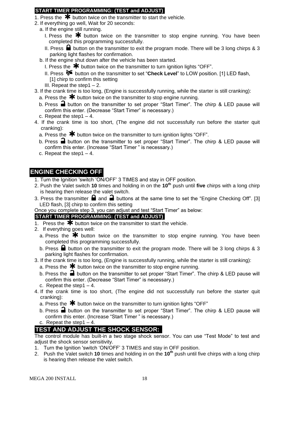## **START TIMER PROGRAMMING: (TEST and ADJUST)**

- 1. Press the  $\bigstar$  button twice on the transmitter to start the vehicle.
- 2. If everything go well, Wait for 20 seconds:
- a. If the engine still running.
	- I. Press the  $*$  button twice on the transmitter to stop engine running. You have been completed this programming successfully.
	- II. Press  $\blacksquare$  button on the transmitter to exit the program mode. There will be 3 long chirps & 3 parking light flashes for confirmation.
- b. If the engine shut down after the vehicle has been started.
	- I. Press the  $*$  button twice on the transmitter to turn ignition lights "OFF".
	- II. Press <sup>8€</sup> button on the transmitter to set "**Check Level**" to LOW position. [1] LED flash, [1] chirp to confirm this setting
	- III. Repeat the step1 $-2$ .
- 3. If the crank time is too long, (Engine is successfully running, while the starter is still cranking):
	- a. Press the  $*$  button twice on the transmitter to stop engine running.
	- b. Press  $\Box$  button on the transmitter to set proper "Start Timer". The chirp & LED pause will confirm this enter. (Decrease "Start Timer" is necessary.)
	- c. Repeat the step1 4.
- 4. If the crank time is too short, (The engine did not successfully run before the starter quit cranking):
	- a. Press the  $\mathbf{\divideontimes}$  button twice on the transmitter to turn ignition lights "OFF".
	- b. Press  $\blacksquare$  button on the transmitter to set proper "Start Timer". The chirp & LED pause will confirm this enter. (Increase "Start Timer " is necessary.)
	- c. Repeat the step1 4.

## **ENGINE CHECKING OFF**

- 1. Turn the Ignition 'switch 'ON/OFF' 3 TIMES and stay in OFF position.
- 2. Push the Valet switch **10** times and holding in on the **10th** push until **five** chirps with a long chirp is hearing then release the valet switch.
- 3. Press the transmitter  $\blacksquare$  and  $\blacksquare$  buttons at the same time to set the "Engine Checking Off". [3] LED flash, [3] chirp to confirm this setting
- Once you complete step 3, you can adjust and test "Start Timer" as below:

## **START TIMER PROGRAMMING: (TEST and ADJUST)**

- 1. Press the  $\overline{\mathbf{*}}$  button twice on the transmitter to start the vehicle.
- 2. If everything goes well:
	- a. Press the  $*$  button twice on the transmitter to stop engine running. You have been completed this programming successfully.
	- b. Press  $\blacksquare$  button on the transmitter to exit the program mode. There will be 3 long chirps & 3 parking light flashes for confirmation.
- 3. If the crank time is too long, (Engine is successfully running, while the starter is still cranking):
	- a. Press the  $\bigstar$  button twice on the transmitter to stop engine running.
	- b. Press the  $\blacksquare$  button on the transmitter to set proper "Start Timer". The chirp & LED pause will confirm this enter. (Decrease "Start Timer" is necessary.)
	- c. Repeat the step  $1 4$ .
- 4. If the crank time is too short, (The engine did not successfully run before the starter quit cranking):
	- a. Press the  $\bigstar$  button twice on the transmitter to turn ignition lights "OFF"
	- b. Press  $\triangleq$  button on the transmitter to set proper "Start Timer". The chirp & LED pause will confirm this enter. (Increase "Start Timer " is necessary.)
	- c. Repeat the step1 $-4$ .

## **TEST AND ADJUST THE SHOCK SENSOR:**

The control module has built-in a two stage shock sensor. You can use "Test Mode" to test and adjust the shock sensor sensitivity.

- 1. Turn the Ignition 'switch 'ON/OFF' 3 TIMES and stay in OFF position.
- 2. Push the Valet switch **10** times and holding in on the **10th** push until five chirps with a long chirp is hearing then release the valet switch.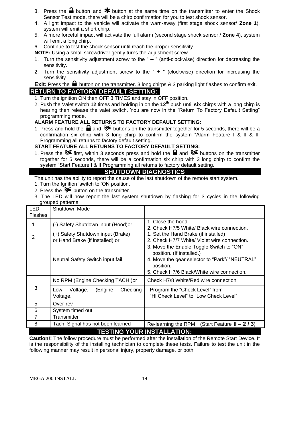- 3. Press the **a** button and  $\mathbf{\textbf{*}}$  button at the same time on the transmitter to enter the Shock Sensor Test mode, there will be a chirp confirmation for you to test shock sensor.
- 4. A light impact to the vehicle will activate the warn-away (first stage shock sensor/ **Zone 1**), system will emit a short chirp.
- 5. A more forceful impact will activate the full alarm (second stage shock sensor / **Zone 4**), system will emit a long chirp.
- 6. Continue to test the shock sensor until reach the proper sensitivity.
- **NOTE:** Using a small screwdriver gently turns the adjustment screw
- 1. Turn the sensitivity adjustment screw to the " **–** " (anti-clockwise) direction for decreasing the sensitivity.
- 2. Turn the sensitivity adjustment screw to the " **+** " (clockwise) direction for increasing the sensitivity.

**Exit:** Press the **b**utton on the transmitter. 3 long chirps & 3 parking light flashes to confirm exit. **RETURN TO FACTORY DEFAULT SETTING:**

- 1. Turn the ignition ON then OFF 3 TIMES and stay in OFF position.
- 2. Push the Valet switch **12** times and holding in on the **12th** push until **six** chirps with a long chirp is hearing then release the valet switch. You are now in the "Return To Factory Default Setting" programming mode.

#### **ALARM FEATURE ALL RETURNS TO FACTORY DEFAULT SETTING:**

1. Press and hold the  $\blacksquare$  and  $\blacklozenge \blacklozenge$  buttons on the transmitter together for 5 seconds, there will be a confirmation six chirp with 3 long chirp to confirm the system "Alarm Feature I & II & III Programming all returns to factory default setting.

#### **START FEATURE ALL RETURNS TO FACTORY DEFAULT SETTING:**

1. Press the  $\delta$  first, within 3 seconds press and hold the **a** and  $\delta$  buttons on the transmitter together for 5 seconds, there will be a confirmation six chirp with 3 long chirp to confirm the system "Start Feature I & II Programming all returns to factory default setting.

## **SHUTDOWN DIAGNOSTICS**

The unit has the ability to report the cause of the last shutdown of the remote start system.

- 1. Turn the Ignition 'switch to 'ON position.
- 2. Press the  $\delta$  button on the transmitter.
- 3. The LED will now report the last system shutdown by flashing for 3 cycles in the following grouped patterns:

| <b>LED</b><br><b>Flashes</b> | Shutdown Mode                                                        |                                                                                                                                                                                    |  |  |
|------------------------------|----------------------------------------------------------------------|------------------------------------------------------------------------------------------------------------------------------------------------------------------------------------|--|--|
|                              | (-) Safety Shutdown input (Hood)or                                   | 1. Close the hood.<br>2. Check H7/5 White/ Black wire connection.                                                                                                                  |  |  |
| 2                            | (+) Safety Shutdown input (Brake)<br>or Hand Brake (if installed) or | 1. Set the Hand Brake (if installed)<br>2. Check H7/7 White/ Violet wire connection.                                                                                               |  |  |
|                              | Neutral Safety Switch input fail                                     | 3. Move the Enable Toggle Switch to "ON"<br>position. (If installed.)<br>4. Move the gear selector to "Park"/ "NEUTRAL"<br>position.<br>5. Check H7/6 Black/White wire connection. |  |  |
|                              | No RPM (Engine Checking TACH.) or                                    | Check H7/8 White/Red wire connection                                                                                                                                               |  |  |
| 3                            | Checking<br>Voltage.<br>(Engine<br>Low<br>Voltage.                   | Program the "Check Level" from<br>"Hi Check Level" to "Low Check Level"                                                                                                            |  |  |
| 5                            | Over-rev                                                             |                                                                                                                                                                                    |  |  |
| 6                            | System timed out                                                     |                                                                                                                                                                                    |  |  |
| $\overline{7}$               | Transmitter                                                          |                                                                                                                                                                                    |  |  |
| 8                            | Tach. Signal has not been learned                                    | (Start Feature $II - 2/3$ )<br>Re-learning the RPM                                                                                                                                 |  |  |
|                              | <b>TESTING YOUR INSTALLATION:</b>                                    |                                                                                                                                                                                    |  |  |

**Caution!!** The follow procedure must be performed after the installation of the Remote Start Device. It is the responsibility of the installing technician to complete these tests. Failure to test the unit in the following manner may result in personal injury, property damage, or both.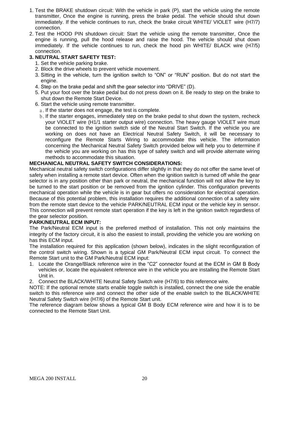- 1. Test the BRAKE shutdown circuit: With the vehicle in park (P), start the vehicle using the remote transmitter, Once the engine is running, press the brake pedal. The vehicle should shut down immediately. If the vehicle continues to run, check the brake circuit WHITE/ VIOLET wire (H7/7) connection.
- 2. Test the HOOD PIN shutdown circuit: Start the vehicle using the remote transmitter, Once the engine is running, pull the hood release and raise the hood. The vehicle should shut down immediately. If the vehicle continues to run, check the hood pin WHITE/ BLACK wire (H7/5) connection.

#### **3. NEUTRAL START SAFETY TEST:**

- 1. Set the vehicle parking brake.
- 2. Block the drive wheels to prevent vehicle movement.
- 3. Sitting in the vehicle, turn the ignition switch to "ON" or "RUN" position. But do not start the engine.
- 4. Step on the brake pedal and shift the gear selector into "DRIVE" (D).
- 5. Put your foot over the brake pedal but do not press down on it. Be ready to step on the brake to shut down the Remote Start Device.
- 6. Start the vehicle using remote transmitter.
	- a. If the starter does not engage, the test is complete.
	- b. If the starter engages, immediately step on the brake pedal to shut down the system, recheck your VIOLET wire (H1/1 starter output wire) connection. The heavy gauge VIOLET wire must be connected to the ignition switch side of the Neutral Start Switch. If the vehicle you are working on does not have an Electrical Neutral Safety Switch, it will be necessary to reconfigure the Remote Starts Wiring to accommodate this vehicle. The information concerning the Mechanical Neutral Safety Switch provided below will help you to determine if the vehicle you are working on has this type of safety switch and will provide alternate wiring methods to accommodate this situation.

#### **MECHANICAL NEUTRAL SAFETY SWITCH CONSIDERATIONS:**

Mechanical neutral safety switch configurations differ slightly in that they do not offer the same level of safety when installing a remote start device. Often when the ignition switch is turned off while the gear selector is in any position other than park or neutral, the mechanical function will not allow the key to be turned to the start position or be removed from the ignition cylinder. This configuration prevents mechanical operation while the vehicle is in gear but offers no consideration for electrical operation. Because of this potential problem, this installation requires the additional connection of a safety wire from the remote start device to the vehicle PARK/NEUTRAL ECM input or the vehicle key in sensor. This connection will prevent remote start operation if the key is left in the ignition switch regardless of the gear selector position.

#### **PARK/NEUTRAL ECM INPUT:**

The Park/Neutral ECM input is the preferred method of installation. This not only maintains the integrity of the factory circuit, it is also the easiest to install, providing the vehicle you are working on has this ECM input.

The installation required for this application (shown below), indicates in the slight reconfiguration of the control switch wiring. Shown is a typical GM Park/Neutral ECM input circuit. To connect the Remote Start unit to the GM Park/Neutral ECM input:

- 1. Locate the Orange/Black reference wire in the "C2" connector found at the ECM in GM B Body vehicles or, locate the equivalent reference wire in the vehicle you are installing the Remote Start Unit in.
- 2. Connect the BLACK/WHITE Neutral Safety Switch wire (H7/6) to this reference wire.

NOTE: If the optional remote starts enable toggle switch is installed, connect the one side the enable switch to this reference wire and connect the other side of the enable switch to the BLACK/WHITE Neutral Safety Switch wire (H7/6) of the Remote Start unit.

The reference diagram below shows a typical GM B Body ECM reference wire and how it is to be connected to the Remote Start Unit.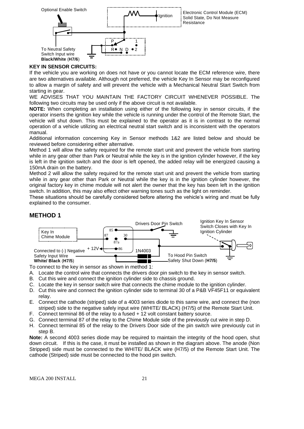

#### **KEY IN SENSOR CIRCUITS:**

If the vehicle you are working on does not have or you cannot locate the ECM reference wire, there are two alternatives available. Although not preferred, the vehicle Key In Sensor may be reconfigured to allow a margin of safety and will prevent the vehicle with a Mechanical Neutral Start Switch from starting in gear.

WE ADVISES THAT YOU MAINTAIN THE FACTORY CIRCUIT WHENEVER POSSIBLE. The following two circuits may be used only if the above circuit is not available.

**NOTE:** When completing an installation using either of the following key in sensor circuits, if the operator inserts the ignition key while the vehicle is running under the control of the Remote Start, the vehicle will shut down. This must be explained to the operator as it is in contrast to the normal operation of a vehicle utilizing an electrical neutral start switch and is inconsistent with the operators manual.

Additional information concerning Key in Sensor methods 1&2 are listed below and should be reviewed before considering either alternative.

Method 1 will allow the safety required for the remote start unit and prevent the vehicle from starting while in any gear other than Park or Neutral while the key is in the ignition cylinder however, if the key is left in the ignition switch and the door is left opened, the added relay will be energized causing a 150mA drain on the battery.

Method 2 will allow the safety required for the remote start unit and prevent the vehicle from starting while in any gear other than Park or Neutral while the key is in the ignition cylinder however, the original factory key in chime module will not alert the owner that the key has been left in the ignition switch. In addition, this may also effect other warning tones such as the light on reminder.

These situations should be carefully considered before altering the vehicle's wiring and must be fully explained to the consumer.

#### **METHOD 1**



To connect to the key in sensor as shown in method 1:

A. Locate the control wire that connects the drivers door pin switch to the key in sensor switch.

- B. Cut this wire and connect the ignition cylinder side to chassis ground.
- C. Locate the key in sensor switch wire that connects the chime module to the ignition cylinder.
- D. Cut this wire and connect the ignition cylinder side to terminal 30 of a P&B VF45F11 or equivalent relay.
- E. Connect the cathode (striped) side of a 4003 series diode to this same wire, and connect the (non striped) side to the negative safely input wire (WHITE/ BLACK) (H7/5) of the Remote Start Unit.
- F. Connect terminal 86 of the relay to a fused + 12 volt constant battery source.
- G. Connect terminal 87 of the relay to the Chime Module side of the previously cut wire in step D.
- H. Connect terminal 85 of the relay to the Drivers Door side of the pin switch wire previously cut in step B.

**Note:** A second 4003 series diode may be required to maintain the integrity of the hood open, shut down circuit. If this is the case, it must be installed as shown in the diagram above. The anode (Non Stripped) side must be connected to the WHITE/ BLACK wire (H7/5) of the Remote Start Unit. The cathode (Striped) side must be connected to the hood pin switch.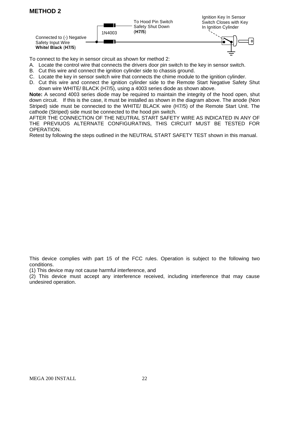## **METHOD 2**



To connect to the key in sensor circuit as shown for method 2:

- A. Locate the control wire that connects the drivers door pin switch to the key in sensor switch.
- B. Cut this wire and connect the ignition cylinder side to chassis ground.
- C. Locate the key in sensor switch wire that connects the chime module to the ignition cylinder.
- D. Cut this wire and connect the ignition cylinder side to the Remote Start Negative Safety Shut down wire WHITE/ BLACK (H7/5), using a 4003 series diode as shown above.

**Note:** A second 4003 series diode may be required to maintain the integrity of the hood open, shut down circuit. If this is the case, it must be installed as shown in the diagram above. The anode (Non Striped) side must be connected to the WHITE/ BLACK wire (H7/5) of the Remote Start Unit. The cathode (Striped) side must be connected to the hood pin switch.

AFTER THE CONNECTION OF THE NEUTRAL START SAFETY WIRE AS INDICATED IN ANY OF THE PREVIUOS ALTERNATE CONFIGURATINS, THIS CIRCUIT MUST BE TESTED FOR OPERATION.

Retest by following the steps outlined in the NEUTRAL START SAFETY TEST shown in this manual.

This device complies with part 15 of the FCC rules. Operation is subject to the following two conditions.

(1) This device may not cause harmful interference, and

(2) This device must accept any interference received, including interference that may cause undesired operation.